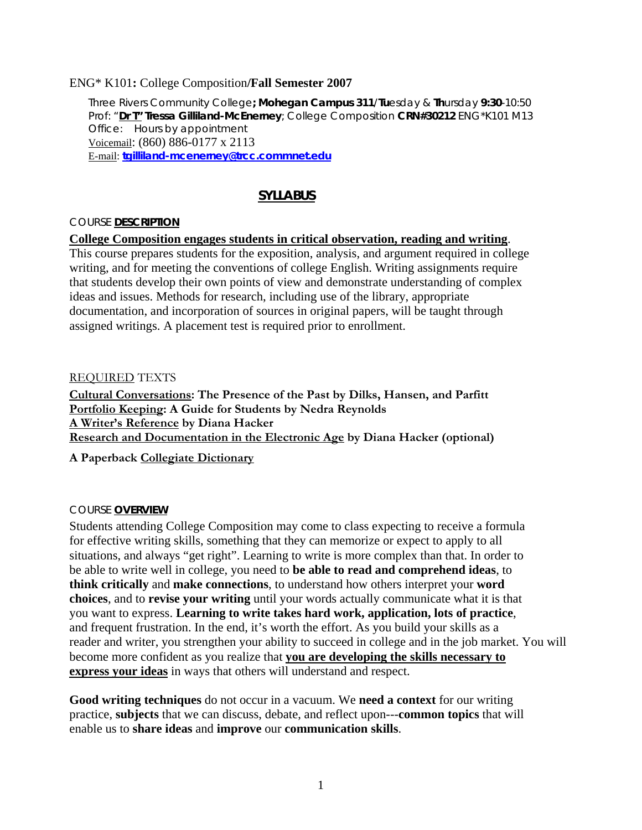### ENG\* K101**:** College Composition**/Fall Semester 2007**

Three Rivers Community College**; Mohegan Campus 311**/**Tu**esday & **Th**ursday **9:30**-10:50 Prof: "**Dr T" Tressa Gilliland-McEnerney**; College Composition **CRN#30212** ENG\*K101 M13 Office: Hours by appointment Voicemail: (860) 886-0177 x 2113 E-mail: **[tgilliland-mcenerney@trcc.commnet.edu](mailto:tgilliland-mcenerney@trcc.commnet.edu)**

## **SYLLABUS**

#### COURSE **DESCRIPTION**

#### **College Composition engages students in critical observation, reading and writing**.

This course prepares students for the exposition, analysis, and argument required in college writing, and for meeting the conventions of college English. Writing assignments require that students develop their own points of view and demonstrate understanding of complex ideas and issues. Methods for research, including use of the library, appropriate documentation, and incorporation of sources in original papers, will be taught through assigned writings. A placement test is required prior to enrollment.

#### REQUIRED TEXTS

**Cultural Conversations: The Presence of the Past by Dilks, Hansen, and Parfitt Portfolio Keeping: A Guide for Students by Nedra Reynolds A Writer's Reference by Diana Hacker Research and Documentation in the Electronic Age by Diana Hacker (optional)** 

### **A Paperback Collegiate Dictionary**

#### COURSE **OVERVIEW**

Students attending College Composition may come to class expecting to receive a formula for effective writing skills, something that they can memorize or expect to apply to all situations, and always "get right". Learning to write is more complex than that. In order to be able to write well in college, you need to **be able to read and comprehend ideas**, to **think critically** and **make connections**, to understand how others interpret your **word choices**, and to **revise your writing** until your words actually communicate what it is that you want to express. **Learning to write takes hard work, application, lots of practice**, and frequent frustration. In the end, it's worth the effort. As you build your skills as a reader and writer, you strengthen your ability to succeed in college and in the job market. You will become more confident as you realize that **you are developing the skills necessary to express your ideas** in ways that others will understand and respect.

**Good writing techniques** do not occur in a vacuum. We **need a context** for our writing practice, **subjects** that we can discuss, debate, and reflect upon---**common topics** that will enable us to **share ideas** and **improve** our **communication skills**.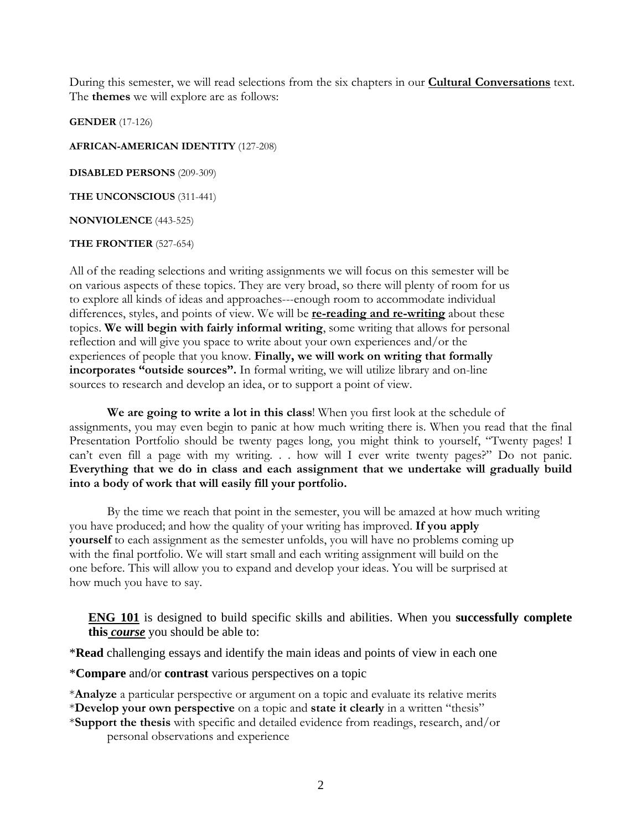During this semester, we will read selections from the six chapters in our **Cultural Conversations** text. The **themes** we will explore are as follows:

**GENDER** (17-126)

**AFRICAN-AMERICAN IDENTITY** (127-208)

**DISABLED PERSONS** (209-309)

**THE UNCONSCIOUS** (311-441)

**NONVIOLENCE** (443-525)

**THE FRONTIER** (527-654)

All of the reading selections and writing assignments we will focus on this semester will be on various aspects of these topics. They are very broad, so there will plenty of room for us to explore all kinds of ideas and approaches---enough room to accommodate individual differences, styles, and points of view. We will be **re-reading and re-writing** about these topics. **We will begin with fairly informal writing**, some writing that allows for personal reflection and will give you space to write about your own experiences and/or the experiences of people that you know. **Finally, we will work on writing that formally incorporates "outside sources".** In formal writing, we will utilize library and on-line sources to research and develop an idea, or to support a point of view.

**We are going to write a lot in this class**! When you first look at the schedule of assignments, you may even begin to panic at how much writing there is. When you read that the final Presentation Portfolio should be twenty pages long, you might think to yourself, "Twenty pages! I can't even fill a page with my writing. . . how will I ever write twenty pages?" Do not panic. **Everything that we do in class and each assignment that we undertake will gradually build into a body of work that will easily fill your portfolio.** 

By the time we reach that point in the semester, you will be amazed at how much writing you have produced; and how the quality of your writing has improved. **If you apply yourself** to each assignment as the semester unfolds, you will have no problems coming up with the final portfolio. We will start small and each writing assignment will build on the one before. This will allow you to expand and develop your ideas. You will be surprised at how much you have to say.

**ENG 101** is designed to build specific skills and abilities. When you **successfully complete this** *course* you should be able to:

\***Read** challenging essays and identify the main ideas and points of view in each one

\***Compare** and/or **contrast** various perspectives on a topic

\***Analyze** a particular perspective or argument on a topic and evaluate its relative merits

\***Develop your own perspective** on a topic and **state it clearly** in a written "thesis"

\***Support the thesis** with specific and detailed evidence from readings, research, and/or personal observations and experience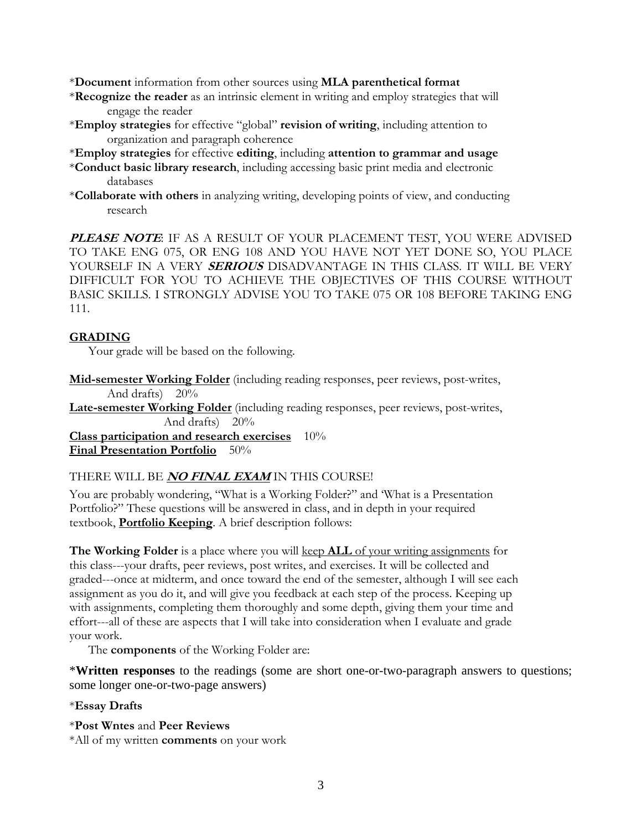\***Document** information from other sources using **MLA parenthetical format**

- \***Recognize the reader** as an intrinsic element in writing and employ strategies that will engage the reader
- \***Employ strategies** for effective "global" **revision of writing**, including attention to organization and paragraph coherence
- \***Employ strategies** for effective **editing**, including **attention to grammar and usage**
- \***Conduct basic library research**, including accessing basic print media and electronic databases
- \***Collaborate with others** in analyzing writing, developing points of view, and conducting research

PLEASE NOTE: IF AS A RESULT OF YOUR PLACEMENT TEST, YOU WERE ADVISED TO TAKE ENG 075, OR ENG 108 AND YOU HAVE NOT YET DONE SO, YOU PLACE YOURSELF IN A VERY **SERIOUS** DISADVANTAGE IN THIS CLASS. IT WILL BE VERY DIFFICULT FOR YOU TO ACHIEVE THE OBJECTIVES OF THIS COURSE WITHOUT BASIC SKILLS. I STRONGLY ADVISE YOU TO TAKE 075 OR 108 BEFORE TAKING ENG 111.

### **GRADING**

Your grade will be based on the following.

**Mid-semester Working Folder** (including reading responses, peer reviews, post-writes, And drafts) 20%

**Late-semester Working Folder** (including reading responses, peer reviews, post-writes, And drafts) 20%

**Class participation and research exercises** 10% **Final Presentation Portfolio** 50%

### THERE WILL BE **NO FINAL EXAM** IN THIS COURSE!

You are probably wondering, "What is a Working Folder?" and 'What is a Presentation Portfolio?" These questions will be answered in class, and in depth in your required textbook, **Portfolio Keeping**. A brief description follows:

**The Working Folder** is a place where you will keep **ALL** of your writing assignments for this class---your drafts, peer reviews, post writes, and exercises. It will be collected and graded---once at midterm, and once toward the end of the semester, although I will see each assignment as you do it, and will give you feedback at each step of the process. Keeping up with assignments, completing them thoroughly and some depth, giving them your time and effort---all of these are aspects that I will take into consideration when I evaluate and grade your work.

The **components** of the Working Folder are:

\***Written responses** to the readings (some are short one-or-two-paragraph answers to questions; some longer one-or-two-page answers)

### \***Essay Drafts**

- \***Post Wntes** and **Peer Reviews**
- \*All of my written **comments** on your work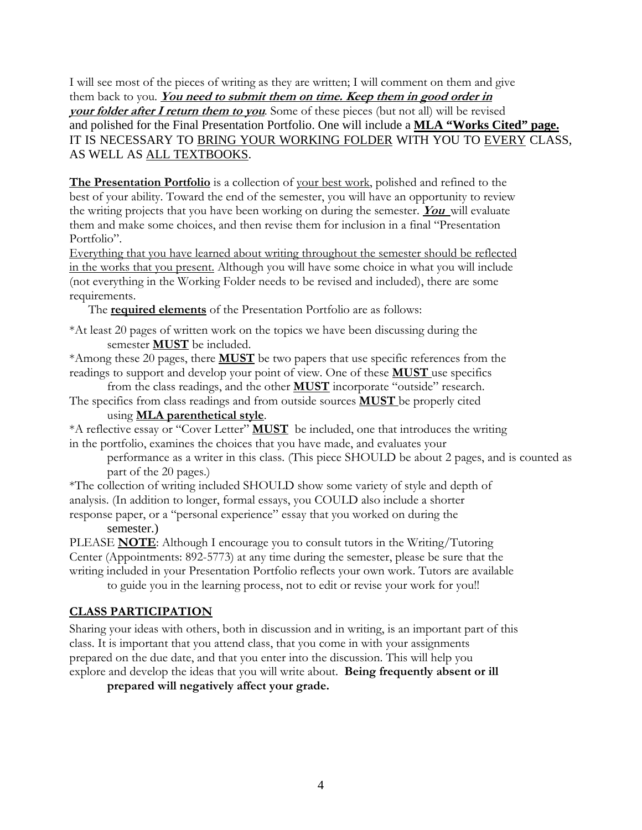I will see most of the pieces of writing as they are written; I will comment on them and give them back to you. **You need to submit them on time. Keep them in good order in your folder after I return them to you**. Some of these pieces (but not all) will be revised and polished for the Final Presentation Portfolio. One will include a **MLA "Works Cited" page.** IT IS NECESSARY TO BRING YOUR WORKING FOLDER WITH YOU TO EVERY CLASS, AS WELL AS ALL TEXTBOOKS.

**The Presentation Portfolio** is a collection of your best work, polished and refined to the best of your ability. Toward the end of the semester, you will have an opportunity to review the writing projects that you have been working on during the semester. **You** will evaluate them and make some choices, and then revise them for inclusion in a final "Presentation Portfolio".

Everything that you have learned about writing throughout the semester should be reflected in the works that you present. Although you will have some choice in what you will include (not everything in the Working Folder needs to be revised and included), there are some requirements.

The **required elements** of the Presentation Portfolio are as follows:

\*At least 20 pages of written work on the topics we have been discussing during the semester **MUST** be included.

\*Among these 20 pages, there **MUST** be two papers that use specific references from the readings to support and develop your point of view. One of these **MUST** use specifics

from the class readings, and the other **MUST** incorporate "outside" research. The specifics from class readings and from outside sources **MUST** be properly cited

## using **MLA parenthetical style**.

\*A reflective essay or "Cover Letter" **MUST** be included, one that introduces the writing in the portfolio, examines the choices that you have made, and evaluates your

performance as a writer in this class. (This piece SHOULD be about 2 pages, and is counted as part of the 20 pages.)

\*The collection of writing included SHOULD show some variety of style and depth of analysis. (In addition to longer, formal essays, you COULD also include a shorter response paper, or a "personal experience" essay that you worked on during the

semester.)

PLEASE **NOTE**: Although I encourage you to consult tutors in the Writing/Tutoring Center (Appointments: 892-5773) at any time during the semester, please be sure that the writing included in your Presentation Portfolio reflects your own work. Tutors are available to guide you in the learning process, not to edit or revise your work for you!!

# **CLASS PARTICIPATION**

Sharing your ideas with others, both in discussion and in writing, is an important part of this class. It is important that you attend class, that you come in with your assignments prepared on the due date, and that you enter into the discussion. This will help you explore and develop the ideas that you will write about. **Being frequently absent or ill** 

**prepared will negatively affect your grade.**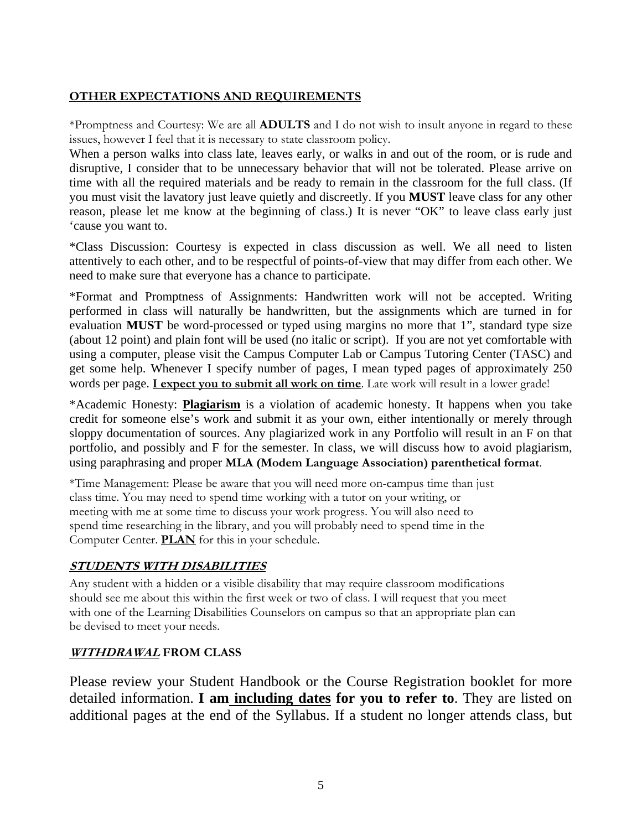## **OTHER EXPECTATIONS AND REQUIREMENTS**

\*Promptness and Courtesy: We are all **ADULTS** and I do not wish to insult anyone in regard to these issues, however I feel that it is necessary to state classroom policy.

When a person walks into class late, leaves early, or walks in and out of the room, or is rude and disruptive, I consider that to be unnecessary behavior that will not be tolerated. Please arrive on time with all the required materials and be ready to remain in the classroom for the full class. (If you must visit the lavatory just leave quietly and discreetly. If you **MUST** leave class for any other reason, please let me know at the beginning of class.) It is never "OK" to leave class early just 'cause you want to.

\*Class Discussion: Courtesy is expected in class discussion as well. We all need to listen attentively to each other, and to be respectful of points-of-view that may differ from each other. We need to make sure that everyone has a chance to participate.

\*Format and Promptness of Assignments: Handwritten work will not be accepted. Writing performed in class will naturally be handwritten, but the assignments which are turned in for evaluation **MUST** be word-processed or typed using margins no more that 1", standard type size (about 12 point) and plain font will be used (no italic or script). If you are not yet comfortable with using a computer, please visit the Campus Computer Lab or Campus Tutoring Center (TASC) and get some help. Whenever I specify number of pages, I mean typed pages of approximately 250 words per page. **I expect you to submit all work on time**. Late work will result in a lower grade!

\*Academic Honesty: **Plagiarism** is a violation of academic honesty. It happens when you take credit for someone else's work and submit it as your own, either intentionally or merely through sloppy documentation of sources. Any plagiarized work in any Portfolio will result in an F on that portfolio, and possibly and F for the semester. In class, we will discuss how to avoid plagiarism, using paraphrasing and proper **MLA (Modem Language Association) parenthetical format**.

\*Time Management: Please be aware that you will need more on-campus time than just class time. You may need to spend time working with a tutor on your writing, or meeting with me at some time to discuss your work progress. You will also need to spend time researching in the library, and you will probably need to spend time in the Computer Center. **PLAN** for this in your schedule.

# **STUDENTS WITH DISABILITIES**

Any student with a hidden or a visible disability that may require classroom modifications should see me about this within the first week or two of class. I will request that you meet with one of the Learning Disabilities Counselors on campus so that an appropriate plan can be devised to meet your needs.

# **WITHDRAWAL FROM CLASS**

Please review your Student Handbook or the Course Registration booklet for more detailed information. **I am including dates for you to refer to**. They are listed on additional pages at the end of the Syllabus. If a student no longer attends class, but